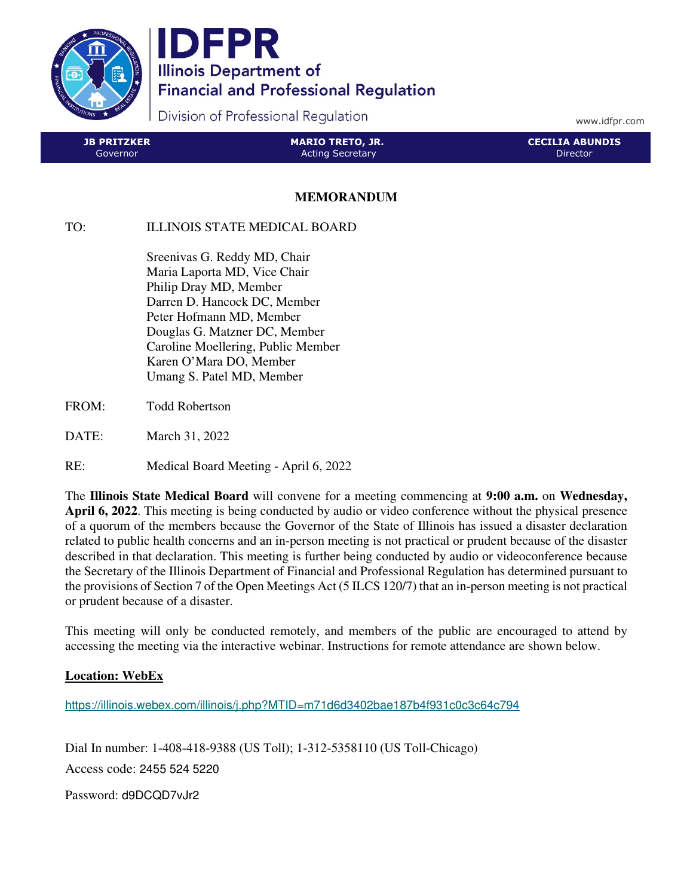

IDFPR **Illinois Department of Financial and Professional Regulation** 

Division of Professional Regulation

www.idfpr.com

| <b>JB PRITZKER</b> | <b>MARIO TRETO, JR.</b> | <b>CECILIA ABUNDIS</b> |
|--------------------|-------------------------|------------------------|
| Governor           | <b>Acting Secretary</b> | 'Director              |

## **MEMORANDUM**

## TO: ILLINOIS STATE MEDICAL BOARD

 Sreenivas G. Reddy MD, Chair Maria Laporta MD, Vice Chair Philip Dray MD, Member Darren D. Hancock DC, Member Peter Hofmann MD, Member Douglas G. Matzner DC, Member Caroline Moellering, Public Member Karen O'Mara DO, Member Umang S. Patel MD, Member

- FROM: Todd Robertson
- DATE: March 31, 2022
- RE: Medical Board Meeting April 6, 2022

The **Illinois State Medical Board** will convene for a meeting commencing at **9:00 a.m.** on **Wednesday, April 6, 2022**. This meeting is being conducted by audio or video conference without the physical presence of a quorum of the members because the Governor of the State of Illinois has issued a disaster declaration related to public health concerns and an in-person meeting is not practical or prudent because of the disaster described in that declaration. This meeting is further being conducted by audio or videoconference because the Secretary of the Illinois Department of Financial and Professional Regulation has determined pursuant to the provisions of Section 7 of the Open Meetings Act (5 ILCS 120/7) that an in-person meeting is not practical or prudent because of a disaster.

This meeting will only be conducted remotely, and members of the public are encouraged to attend by accessing the meeting via the interactive webinar. Instructions for remote attendance are shown below.

## **Location: WebEx**

https://illinois.webex.com/illinois/j.php?MTID=m71d6d3402bae187b4f931c0c3c64c794

Dial In number: 1-408-418-9388 (US Toll); 1-312-5358110 (US Toll-Chicago) Access code: 2455 524 5220

Password: d9DCQD7vJr2